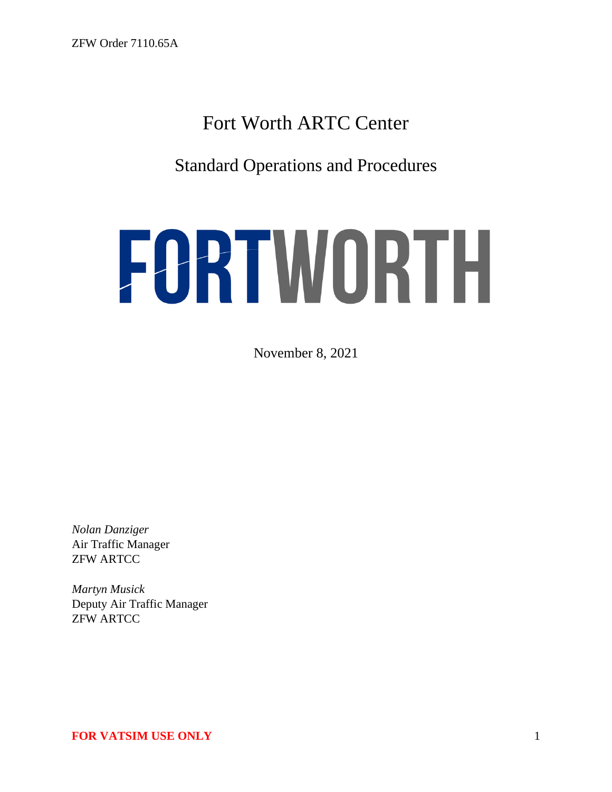# Fort Worth ARTC Center

# Standard Operations and Procedures

# FORTWORTH

November 8, 2021

*Nolan Danziger* Air Traffic Manager ZFW ARTCC

*Martyn Musick* Deputy Air Traffic Manager ZFW ARTCC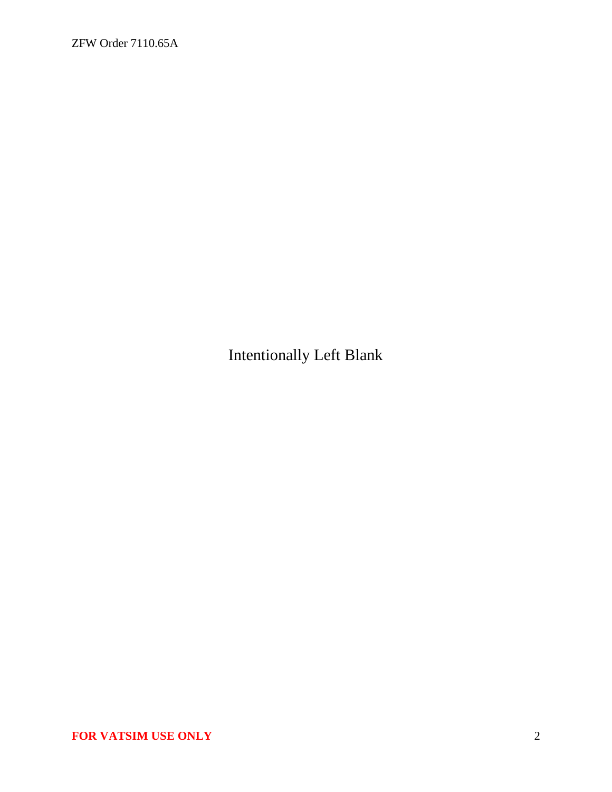Intentionally Left Blank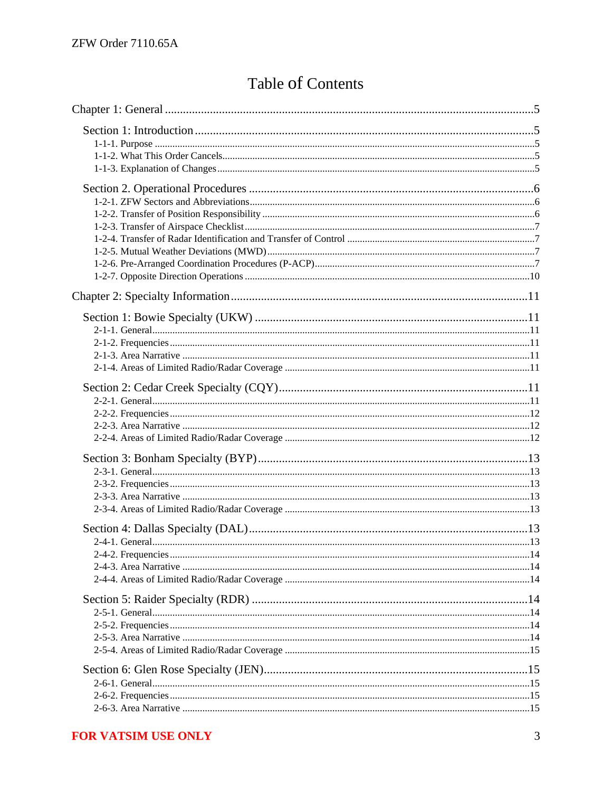# **Table of Contents**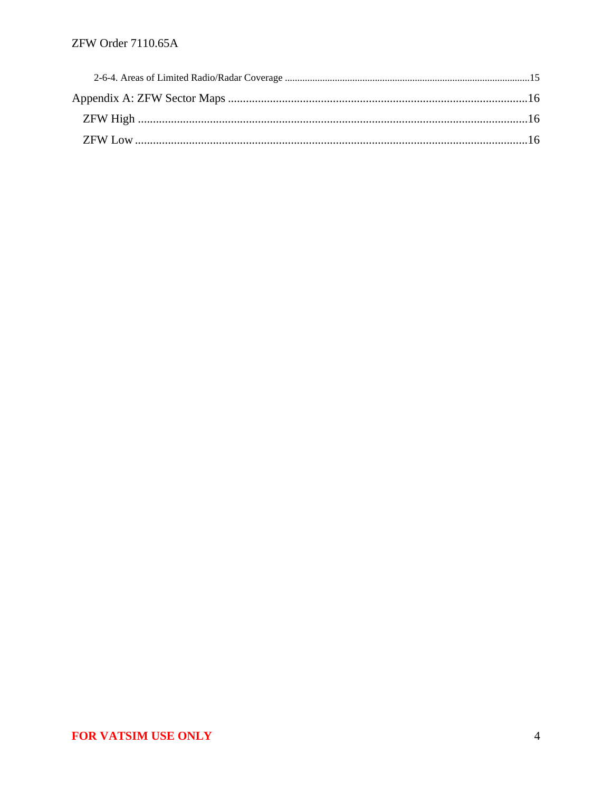#### ZFW Order 7110.65A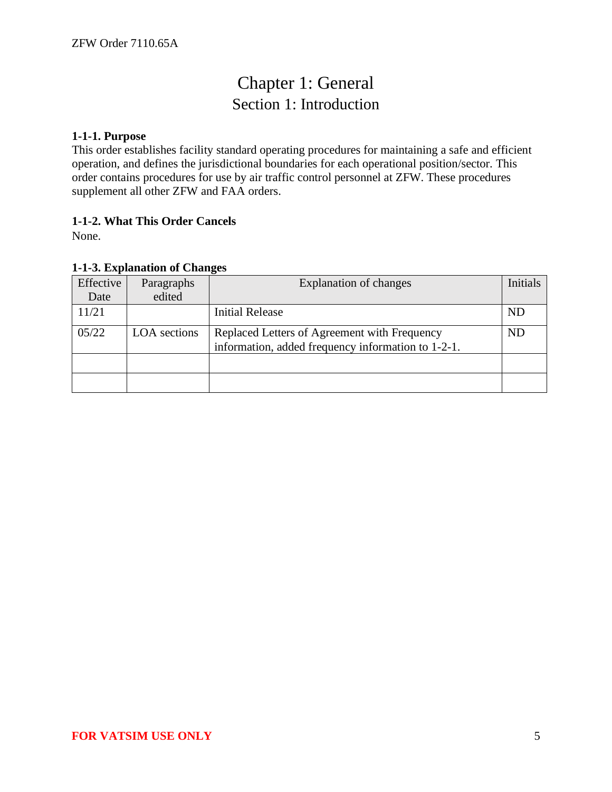# Chapter 1: General Section 1: Introduction

#### <span id="page-4-2"></span><span id="page-4-1"></span><span id="page-4-0"></span>**1-1-1. Purpose**

This order establishes facility standard operating procedures for maintaining a safe and efficient operation, and defines the jurisdictional boundaries for each operational position/sector. This order contains procedures for use by air traffic control personnel at ZFW. These procedures supplement all other ZFW and FAA orders.

#### <span id="page-4-3"></span>**1-1-2. What This Order Cancels**

None.

| Effective | Paragraphs          | Explanation of changes                                                                             | Initials  |
|-----------|---------------------|----------------------------------------------------------------------------------------------------|-----------|
| Date      | edited              |                                                                                                    |           |
| 11/21     |                     | <b>Initial Release</b>                                                                             | <b>ND</b> |
| 05/22     | <b>LOA</b> sections | Replaced Letters of Agreement with Frequency<br>information, added frequency information to 1-2-1. | <b>ND</b> |
|           |                     |                                                                                                    |           |
|           |                     |                                                                                                    |           |

#### <span id="page-4-4"></span>**1-1-3. Explanation of Changes**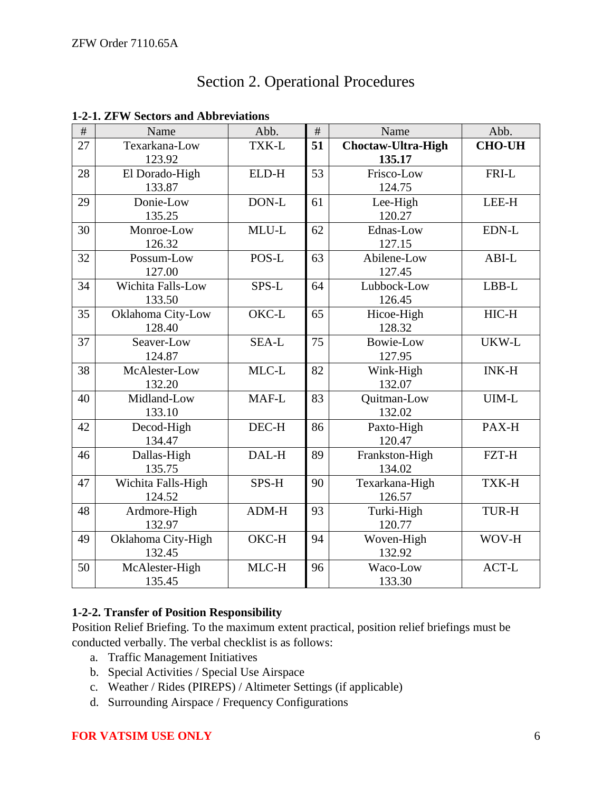|  |  | <b>Section 2. Operational Procedures</b> |  |
|--|--|------------------------------------------|--|
|--|--|------------------------------------------|--|

| $\#$ | Name               | Abb.         | #  | Name                                | Abb.         |
|------|--------------------|--------------|----|-------------------------------------|--------------|
| 27   | Texarkana-Low      | TXK-L        | 51 | <b>CHO-UH</b><br>Choctaw-Ultra-High |              |
|      | 123.92             |              |    | 135.17                              |              |
| 28   | El Dorado-High     | ELD-H        | 53 | Frisco-Low                          | FRI-L        |
|      | 133.87             |              |    | 124.75                              |              |
| 29   | Donie-Low          | DON-L        | 61 | Lee-High                            | LEE-H        |
|      | 135.25             |              |    | 120.27                              |              |
| 30   | Monroe-Low         | $MLU-L$      | 62 | Ednas-Low                           | EDN-L        |
|      | 126.32             |              |    | 127.15                              |              |
| 32   | Possum-Low         | POS-L        | 63 | Abilene-Low                         | ABI-L        |
|      | 127.00             |              |    | 127.45                              |              |
| 34   | Wichita Falls-Low  | SPS-L        | 64 | Lubbock-Low                         | $LBB-L$      |
|      | 133.50             |              |    | 126.45                              |              |
| 35   | Oklahoma City-Low  | OKC-L        | 65 | Hicoe-High                          | HIC-H        |
|      | 128.40             |              |    | 128.32                              |              |
| 37   | Seaver-Low         | <b>SEA-L</b> | 75 | <b>Bowie-Low</b>                    | UKW-L        |
|      | 124.87             |              |    | 127.95                              |              |
| 38   | McAlester-Low      | MLC-L        | 82 | Wink-High                           | <b>INK-H</b> |
|      | 132.20             |              |    | 132.07                              |              |
| 40   | Midland-Low        | MAF-L        | 83 | Quitman-Low                         | UIM-L        |
|      | 133.10             |              |    | 132.02                              |              |
| 42   | Decod-High         | DEC-H        | 86 | Paxto-High                          | PAX-H        |
|      | 134.47             |              |    | 120.47                              |              |
| 46   | Dallas-High        | DAL-H        | 89 | Frankston-High                      | FZT-H        |
|      | 135.75             |              |    | 134.02                              |              |
| 47   | Wichita Falls-High | SPS-H        | 90 | Texarkana-High                      | TXK-H        |
|      | 124.52             |              |    | 126.57                              |              |
| 48   | Ardmore-High       | ADM-H        | 93 | Turki-High                          | TUR-H        |
|      | 132.97             |              |    | 120.77                              |              |
| 49   | Oklahoma City-High | OKC-H        | 94 | Woven-High                          | WOV-H        |
|      | 132.45             |              |    | 132.92                              |              |
| 50   | McAlester-High     | MLC-H        | 96 | Waco-Low                            | ACT-L        |
|      | 135.45             |              |    | 133.30                              |              |

#### <span id="page-5-1"></span><span id="page-5-0"></span>**1-2-1. ZFW Sectors and Abbreviations**

#### <span id="page-5-2"></span>**1-2-2. Transfer of Position Responsibility**

Position Relief Briefing. To the maximum extent practical, position relief briefings must be conducted verbally. The verbal checklist is as follows:

- a. Traffic Management Initiatives
- b. Special Activities / Special Use Airspace
- c. Weather / Rides (PIREPS) / Altimeter Settings (if applicable)
- d. Surrounding Airspace / Frequency Configurations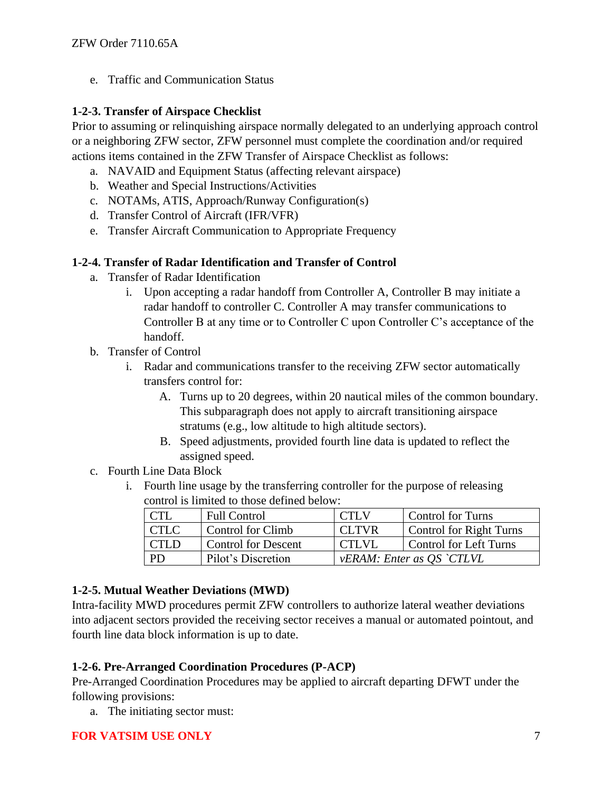e. Traffic and Communication Status

#### <span id="page-6-0"></span>**1-2-3. Transfer of Airspace Checklist**

Prior to assuming or relinquishing airspace normally delegated to an underlying approach control or a neighboring ZFW sector, ZFW personnel must complete the coordination and/or required actions items contained in the ZFW Transfer of Airspace Checklist as follows:

- a. NAVAID and Equipment Status (affecting relevant airspace)
- b. Weather and Special Instructions/Activities
- c. NOTAMs, ATIS, Approach/Runway Configuration(s)
- d. Transfer Control of Aircraft (IFR/VFR)
- e. Transfer Aircraft Communication to Appropriate Frequency

#### <span id="page-6-1"></span>**1-2-4. Transfer of Radar Identification and Transfer of Control**

- a. Transfer of Radar Identification
	- i. Upon accepting a radar handoff from Controller A, Controller B may initiate a radar handoff to controller C. Controller A may transfer communications to Controller B at any time or to Controller C upon Controller C's acceptance of the handoff.
- b. Transfer of Control
	- i. Radar and communications transfer to the receiving ZFW sector automatically transfers control for:
		- A. Turns up to 20 degrees, within 20 nautical miles of the common boundary. This subparagraph does not apply to aircraft transitioning airspace stratums (e.g., low altitude to high altitude sectors).
		- B. Speed adjustments, provided fourth line data is updated to reflect the assigned speed.
- c. Fourth Line Data Block
	- i. Fourth line usage by the transferring controller for the purpose of releasing control is limited to those defined below:

| <b>CTL</b>  | <b>Full Control</b> | CTLV         | <b>Control for Turns</b>         |
|-------------|---------------------|--------------|----------------------------------|
| <b>CTLC</b> | Control for Climb   | <b>CLTVR</b> | <b>Control for Right Turns</b>   |
| CTLD        | Control for Descent | CTLVL        | <b>Control for Left Turns</b>    |
| PD.         | Pilot's Discretion  |              | <i>vERAM: Enter as OS `CTLVL</i> |

#### <span id="page-6-2"></span>**1-2-5. Mutual Weather Deviations (MWD)**

Intra-facility MWD procedures permit ZFW controllers to authorize lateral weather deviations into adjacent sectors provided the receiving sector receives a manual or automated pointout, and fourth line data block information is up to date.

#### <span id="page-6-3"></span>**1-2-6. Pre-Arranged Coordination Procedures (P-ACP)**

Pre-Arranged Coordination Procedures may be applied to aircraft departing DFWT under the following provisions:

a. The initiating sector must: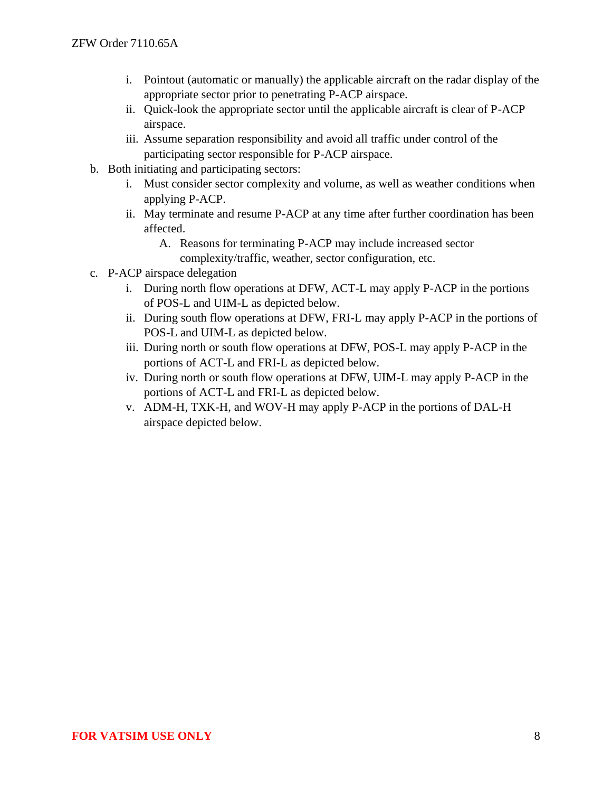- i. Pointout (automatic or manually) the applicable aircraft on the radar display of the appropriate sector prior to penetrating P-ACP airspace.
- ii. Quick-look the appropriate sector until the applicable aircraft is clear of P-ACP airspace.
- iii. Assume separation responsibility and avoid all traffic under control of the participating sector responsible for P-ACP airspace.
- b. Both initiating and participating sectors:
	- i. Must consider sector complexity and volume, as well as weather conditions when applying P-ACP.
	- ii. May terminate and resume P-ACP at any time after further coordination has been affected.
		- A. Reasons for terminating P-ACP may include increased sector
			- complexity/traffic, weather, sector configuration, etc.
- c. P-ACP airspace delegation
	- i. During north flow operations at DFW, ACT-L may apply P-ACP in the portions of POS-L and UIM-L as depicted below.
	- ii. During south flow operations at DFW, FRI-L may apply P-ACP in the portions of POS-L and UIM-L as depicted below.
	- iii. During north or south flow operations at DFW, POS-L may apply P-ACP in the portions of ACT-L and FRI-L as depicted below.
	- iv. During north or south flow operations at DFW, UIM-L may apply P-ACP in the portions of ACT-L and FRI-L as depicted below.
	- v. ADM-H, TXK-H, and WOV-H may apply P-ACP in the portions of DAL-H airspace depicted below.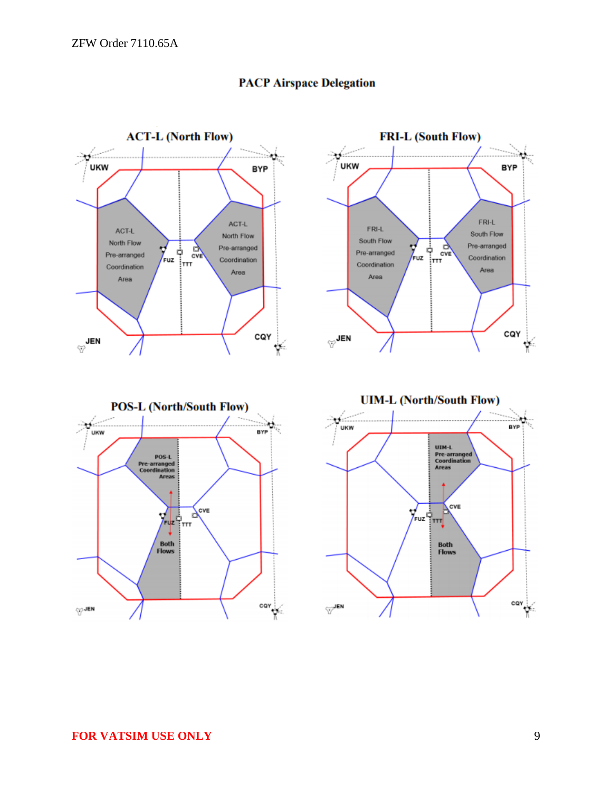

#### **PACP Airspace Delegation**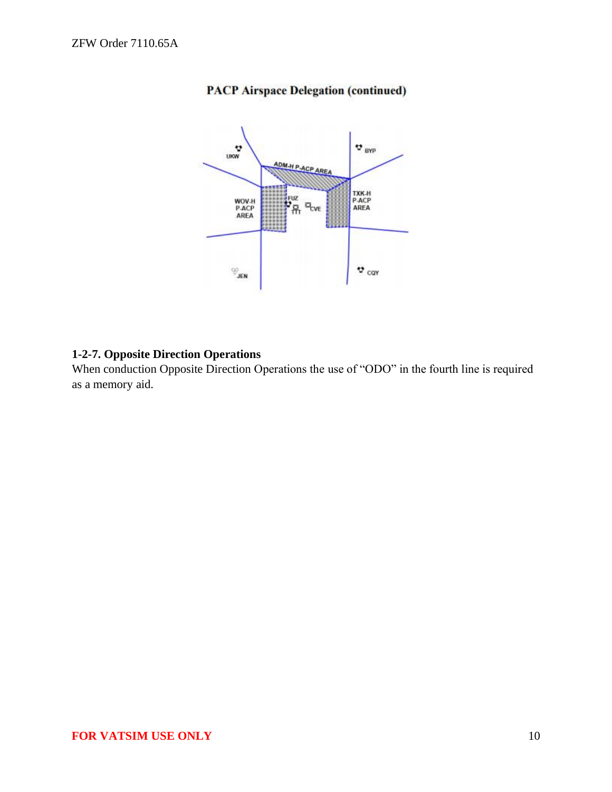

### **PACP Airspace Delegation (continued)**

#### <span id="page-9-0"></span>**1-2-7. Opposite Direction Operations**

When conduction Opposite Direction Operations the use of "ODO" in the fourth line is required as a memory aid.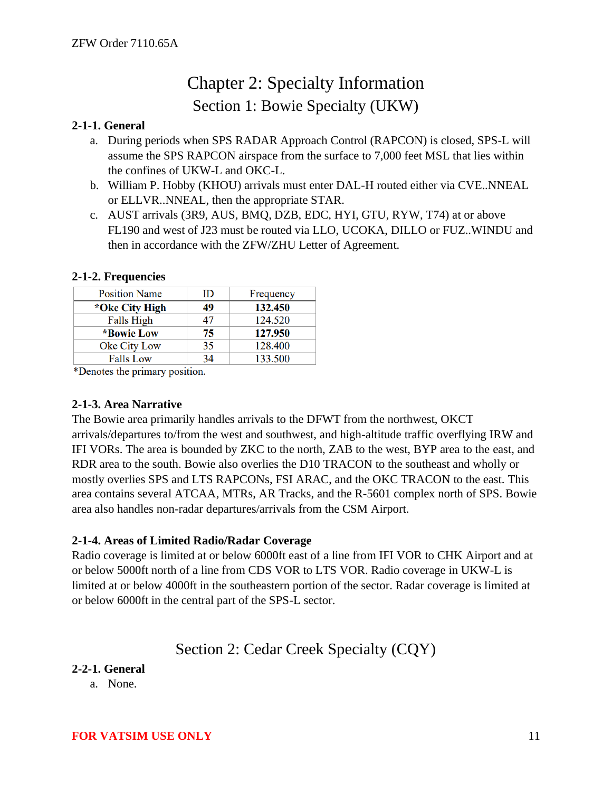# Chapter 2: Specialty Information Section 1: Bowie Specialty (UKW)

#### <span id="page-10-2"></span><span id="page-10-1"></span><span id="page-10-0"></span>**2-1-1. General**

- a. During periods when SPS RADAR Approach Control (RAPCON) is closed, SPS-L will assume the SPS RAPCON airspace from the surface to 7,000 feet MSL that lies within the confines of UKW-L and OKC-L.
- b. William P. Hobby (KHOU) arrivals must enter DAL-H routed either via CVE..NNEAL or ELLVR..NNEAL, then the appropriate STAR.
- c. AUST arrivals (3R9, AUS, BMQ, DZB, EDC, HYI, GTU, RYW, T74) at or above FL190 and west of J23 must be routed via LLO, UCOKA, DILLO or FUZ..WINDU and then in accordance with the ZFW/ZHU Letter of Agreement.

#### <span id="page-10-3"></span>**2-1-2. Frequencies**

| <b>Position Name</b> | ID | Frequency |
|----------------------|----|-----------|
| *Oke City High       | 49 | 132.450   |
| <b>Falls High</b>    | 47 | 124,520   |
| *Bowie Low           | 75 | 127.950   |
| Oke City Low         | 35 | 128.400   |
| <b>Falls Low</b>     | 34 | 133.500   |

\*Denotes the primary position.

#### <span id="page-10-4"></span>**2-1-3. Area Narrative**

The Bowie area primarily handles arrivals to the DFWT from the northwest, OKCT arrivals/departures to/from the west and southwest, and high-altitude traffic overflying IRW and IFI VORs. The area is bounded by ZKC to the north, ZAB to the west, BYP area to the east, and RDR area to the south. Bowie also overlies the D10 TRACON to the southeast and wholly or mostly overlies SPS and LTS RAPCONs, FSI ARAC, and the OKC TRACON to the east. This area contains several ATCAA, MTRs, AR Tracks, and the R-5601 complex north of SPS. Bowie area also handles non-radar departures/arrivals from the CSM Airport.

#### <span id="page-10-5"></span>**2-1-4. Areas of Limited Radio/Radar Coverage**

Radio coverage is limited at or below 6000ft east of a line from IFI VOR to CHK Airport and at or below 5000ft north of a line from CDS VOR to LTS VOR. Radio coverage in UKW-L is limited at or below 4000ft in the southeastern portion of the sector. Radar coverage is limited at or below 6000ft in the central part of the SPS-L sector.

## Section 2: Cedar Creek Specialty (CQY)

#### <span id="page-10-7"></span><span id="page-10-6"></span>**2-2-1. General**

a. None.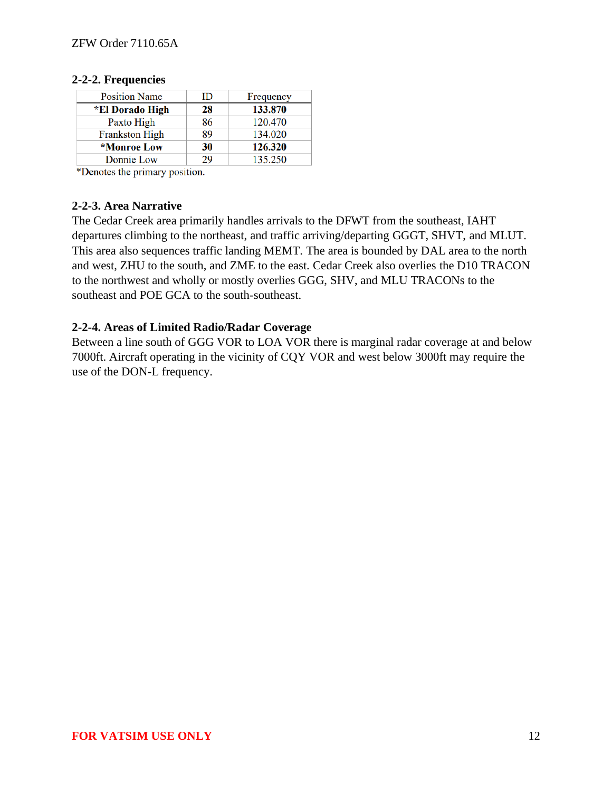#### ZFW Order 7110.65A

#### <span id="page-11-0"></span>**2-2-2. Frequencies**

| <b>Position Name</b>  | ID | Frequency |
|-----------------------|----|-----------|
| *El Dorado High       | 28 | 133.870   |
| Paxto High            | 86 | 120.470   |
| <b>Frankston High</b> | 89 | 134.020   |
| *Monroe Low           | 30 | 126.320   |
| Donnie Low            | 29 | 135.250   |

\*Denotes the primary position.

#### <span id="page-11-1"></span>**2-2-3. Area Narrative**

The Cedar Creek area primarily handles arrivals to the DFWT from the southeast, IAHT departures climbing to the northeast, and traffic arriving/departing GGGT, SHVT, and MLUT. This area also sequences traffic landing MEMT. The area is bounded by DAL area to the north and west, ZHU to the south, and ZME to the east. Cedar Creek also overlies the D10 TRACON to the northwest and wholly or mostly overlies GGG, SHV, and MLU TRACONs to the southeast and POE GCA to the south-southeast.

#### <span id="page-11-2"></span>**2-2-4. Areas of Limited Radio/Radar Coverage**

Between a line south of GGG VOR to LOA VOR there is marginal radar coverage at and below 7000ft. Aircraft operating in the vicinity of CQY VOR and west below 3000ft may require the use of the DON-L frequency.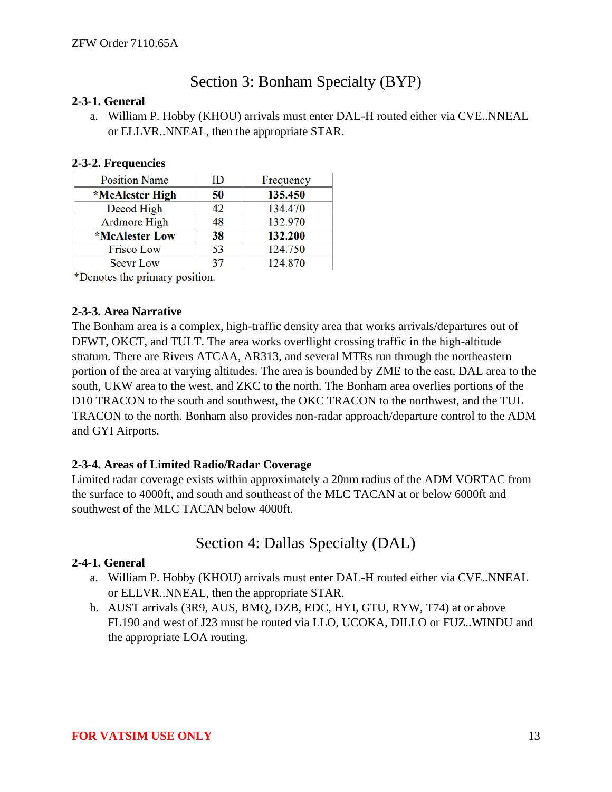## Section 3: Bonham Specialty (BYP)

#### <span id="page-12-1"></span><span id="page-12-0"></span>**2-3-1. General**

a. William P. Hobby (KHOU) arrivals must enter DAL-H routed either via CVE..NNEAL or ELLVR..NNEAL, then the appropriate STAR.

#### <span id="page-12-2"></span>**2-3-2. Frequencies**

| <b>Position Name</b> | ID | Frequency |
|----------------------|----|-----------|
| *McAlester High      | 50 | 135.450   |
| Decod High           | 42 | 134.470   |
| Ardmore High         | 48 | 132.970   |
| *McAlester Low       | 38 | 132.200   |
| <b>Frisco Low</b>    | 53 | 124.750   |
| <b>Seevr Low</b>     | 37 | 124.870   |

\*Denotes the primary position.

#### <span id="page-12-3"></span>**2-3-3. Area Narrative**

The Bonham area is a complex, high-traffic density area that works arrivals/departures out of DFWT, OKCT, and TULT. The area works overflight crossing traffic in the high-altitude stratum. There are Rivers ATCAA, AR313, and several MTRs run through the northeastern portion of the area at varying altitudes. The area is bounded by ZME to the east, DAL area to the south, UKW area to the west, and ZKC to the north. The Bonham area overlies portions of the D10 TRACON to the south and southwest, the OKC TRACON to the northwest, and the TUL TRACON to the north. Bonham also provides non-radar approach/departure control to the ADM and GYI Airports.

#### <span id="page-12-4"></span>**2-3-4. Areas of Limited Radio/Radar Coverage**

Limited radar coverage exists within approximately a 20nm radius of the ADM VORTAC from the surface to 4000ft, and south and southeast of the MLC TACAN at or below 6000ft and southwest of the MLC TACAN below 4000ft.

## Section 4: Dallas Specialty (DAL)

#### <span id="page-12-6"></span><span id="page-12-5"></span>**2-4-1. General**

- a. William P. Hobby (KHOU) arrivals must enter DAL-H routed either via CVE..NNEAL or ELLVR..NNEAL, then the appropriate STAR.
- b. AUST arrivals (3R9, AUS, BMQ, DZB, EDC, HYI, GTU, RYW, T74) at or above FL190 and west of J23 must be routed via LLO, UCOKA, DILLO or FUZ..WINDU and the appropriate LOA routing.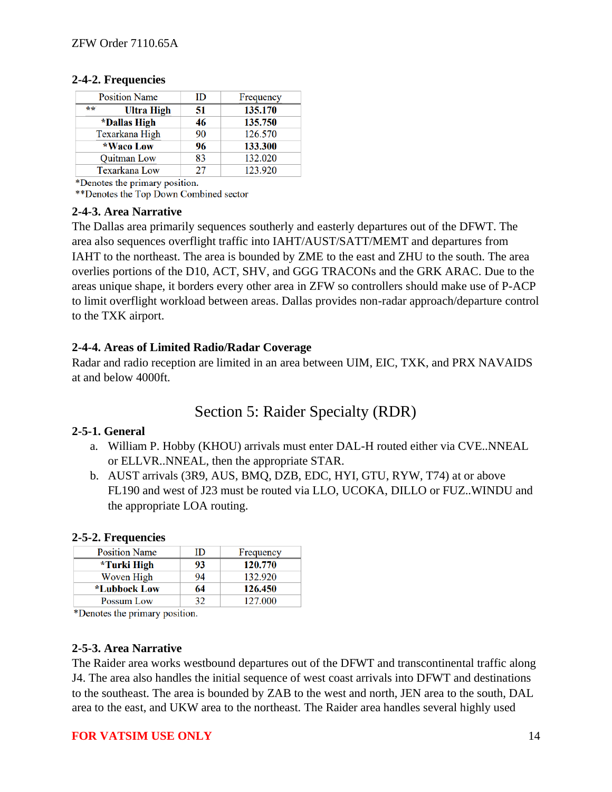#### <span id="page-13-0"></span>**2-4-2. Frequencies**

|     | <b>Position Name</b> | ID | Frequency |
|-----|----------------------|----|-----------|
| 来来。 | <b>Ultra High</b>    | 51 | 135.170   |
|     | *Dallas High         | 46 | 135.750   |
|     | Texarkana High       | 90 | 126.570   |
|     | *Waco Low            | 96 | 133.300   |
|     | Quitman Low          | 83 | 132.020   |
|     | <b>Texarkana Low</b> | 27 | 123.920   |

\*Denotes the primary position.

\*\*Denotes the Top Down Combined sector

#### <span id="page-13-1"></span>**2-4-3. Area Narrative**

The Dallas area primarily sequences southerly and easterly departures out of the DFWT. The area also sequences overflight traffic into IAHT/AUST/SATT/MEMT and departures from IAHT to the northeast. The area is bounded by ZME to the east and ZHU to the south. The area overlies portions of the D10, ACT, SHV, and GGG TRACONs and the GRK ARAC. Due to the areas unique shape, it borders every other area in ZFW so controllers should make use of P-ACP to limit overflight workload between areas. Dallas provides non-radar approach/departure control to the TXK airport.

#### <span id="page-13-2"></span>**2-4-4. Areas of Limited Radio/Radar Coverage**

Radar and radio reception are limited in an area between UIM, EIC, TXK, and PRX NAVAIDS at and below 4000ft.

## Section 5: Raider Specialty (RDR)

#### <span id="page-13-4"></span><span id="page-13-3"></span>**2-5-1. General**

- a. William P. Hobby (KHOU) arrivals must enter DAL-H routed either via CVE..NNEAL or ELLVR..NNEAL, then the appropriate STAR.
- b. AUST arrivals (3R9, AUS, BMQ, DZB, EDC, HYI, GTU, RYW, T74) at or above FL190 and west of J23 must be routed via LLO, UCOKA, DILLO or FUZ..WINDU and the appropriate LOA routing.

| <b>Position Name</b> | ID | Frequency |
|----------------------|----|-----------|
| *Turki High          | 93 | 120.770   |
| Woven High           | 94 | 132.920   |
| *Lubbock Low         | 64 | 126.450   |
| Possum Low           | 32 | 127.000   |

#### <span id="page-13-5"></span>**2-5-2. Frequencies**

\*Denotes the primary position.

#### <span id="page-13-6"></span>**2-5-3. Area Narrative**

The Raider area works westbound departures out of the DFWT and transcontinental traffic along J4. The area also handles the initial sequence of west coast arrivals into DFWT and destinations to the southeast. The area is bounded by ZAB to the west and north, JEN area to the south, DAL area to the east, and UKW area to the northeast. The Raider area handles several highly used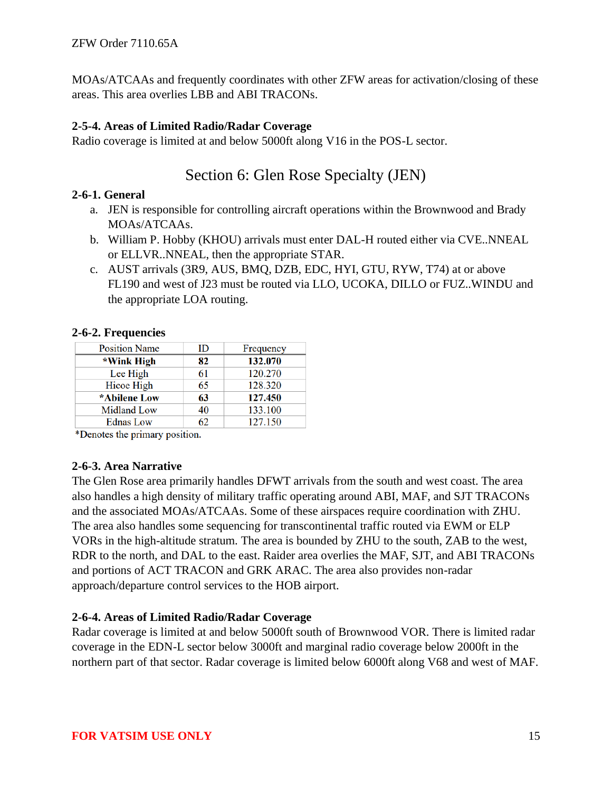MOAs/ATCAAs and frequently coordinates with other ZFW areas for activation/closing of these areas. This area overlies LBB and ABI TRACONs.

#### <span id="page-14-0"></span>**2-5-4. Areas of Limited Radio/Radar Coverage**

Radio coverage is limited at and below 5000ft along V16 in the POS-L sector.

## Section 6: Glen Rose Specialty (JEN)

#### <span id="page-14-2"></span><span id="page-14-1"></span>**2-6-1. General**

- a. JEN is responsible for controlling aircraft operations within the Brownwood and Brady MOAs/ATCAAs.
- b. William P. Hobby (KHOU) arrivals must enter DAL-H routed either via CVE..NNEAL or ELLVR..NNEAL, then the appropriate STAR.
- c. AUST arrivals (3R9, AUS, BMQ, DZB, EDC, HYI, GTU, RYW, T74) at or above FL190 and west of J23 must be routed via LLO, UCOKA, DILLO or FUZ..WINDU and the appropriate LOA routing.

#### <span id="page-14-3"></span>**2-6-2. Frequencies**

| <b>Position Name</b> | ID | Frequency |
|----------------------|----|-----------|
| *Wink High           | 82 | 132.070   |
| Lee High             | 61 | 120.270   |
| Hicoe High           | 65 | 128.320   |
| *Abilene Low         | 63 | 127.450   |
| <b>Midland Low</b>   | 40 | 133.100   |
| <b>Ednas Low</b>     | 62 | 127.150   |

\*Denotes the primary position.

#### <span id="page-14-4"></span>**2-6-3. Area Narrative**

The Glen Rose area primarily handles DFWT arrivals from the south and west coast. The area also handles a high density of military traffic operating around ABI, MAF, and SJT TRACONs and the associated MOAs/ATCAAs. Some of these airspaces require coordination with ZHU. The area also handles some sequencing for transcontinental traffic routed via EWM or ELP VORs in the high-altitude stratum. The area is bounded by ZHU to the south, ZAB to the west, RDR to the north, and DAL to the east. Raider area overlies the MAF, SJT, and ABI TRACONs and portions of ACT TRACON and GRK ARAC. The area also provides non-radar approach/departure control services to the HOB airport.

#### <span id="page-14-5"></span>**2-6-4. Areas of Limited Radio/Radar Coverage**

Radar coverage is limited at and below 5000ft south of Brownwood VOR. There is limited radar coverage in the EDN-L sector below 3000ft and marginal radio coverage below 2000ft in the northern part of that sector. Radar coverage is limited below 6000ft along V68 and west of MAF.